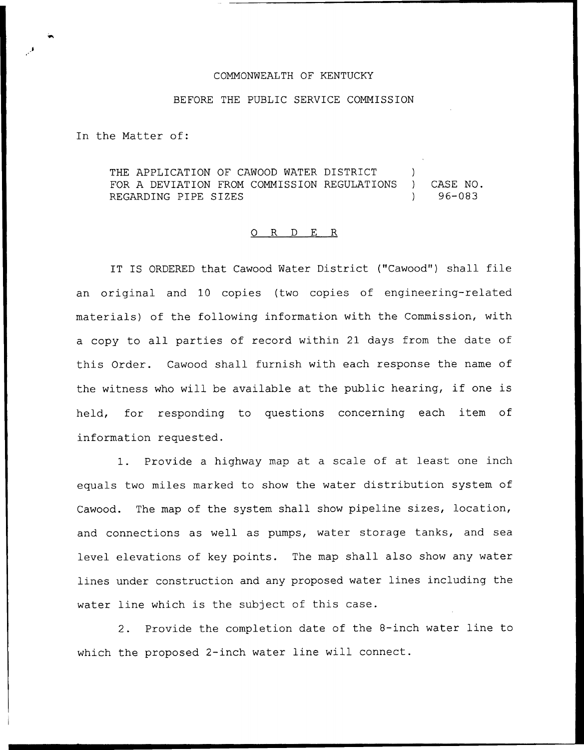## COMMONWEALTH OF KENTUCKY

## BEFORE THE PUBLIC SERVICE COMMISSION

In the Matter of:

THE APPLICATION OF CAWOOD WATER DISTRICT FOR A DEVIATION FROM COMMISSION REGULATIONS ) CASE NO.<br>REGARDING PIPE SIZES (196-083 REGARDING PIPE SIZES

## 0 R <sup>D</sup> E R

IT IS ORDERED that Cawood Water District ("Cawood") shall file an original and 10 copies (two copies of engineering-related materials) of the following information with the Commission, with a copy to all parties of record within 21 days from the date of this Order. Cawood shall furnish with each response the name of the witness who will be available at the public hearing, if one is held, for responding to questions concerning each item of information requested.

1. Provide <sup>a</sup> highway map at <sup>a</sup> scale of at least one inch equals two miles marked to show the water distribution system of Cawood. The map of the system shall show pipeline sizes, location, and connections as well as pumps, water storage tanks, and sea level elevations of key points. The map shall also show any water lines under construction and any proposed water lines including the water line which is the subject of this case.

2. Provide the completion date of the 8-inch water line to which the proposed 2-inch water line will connect.